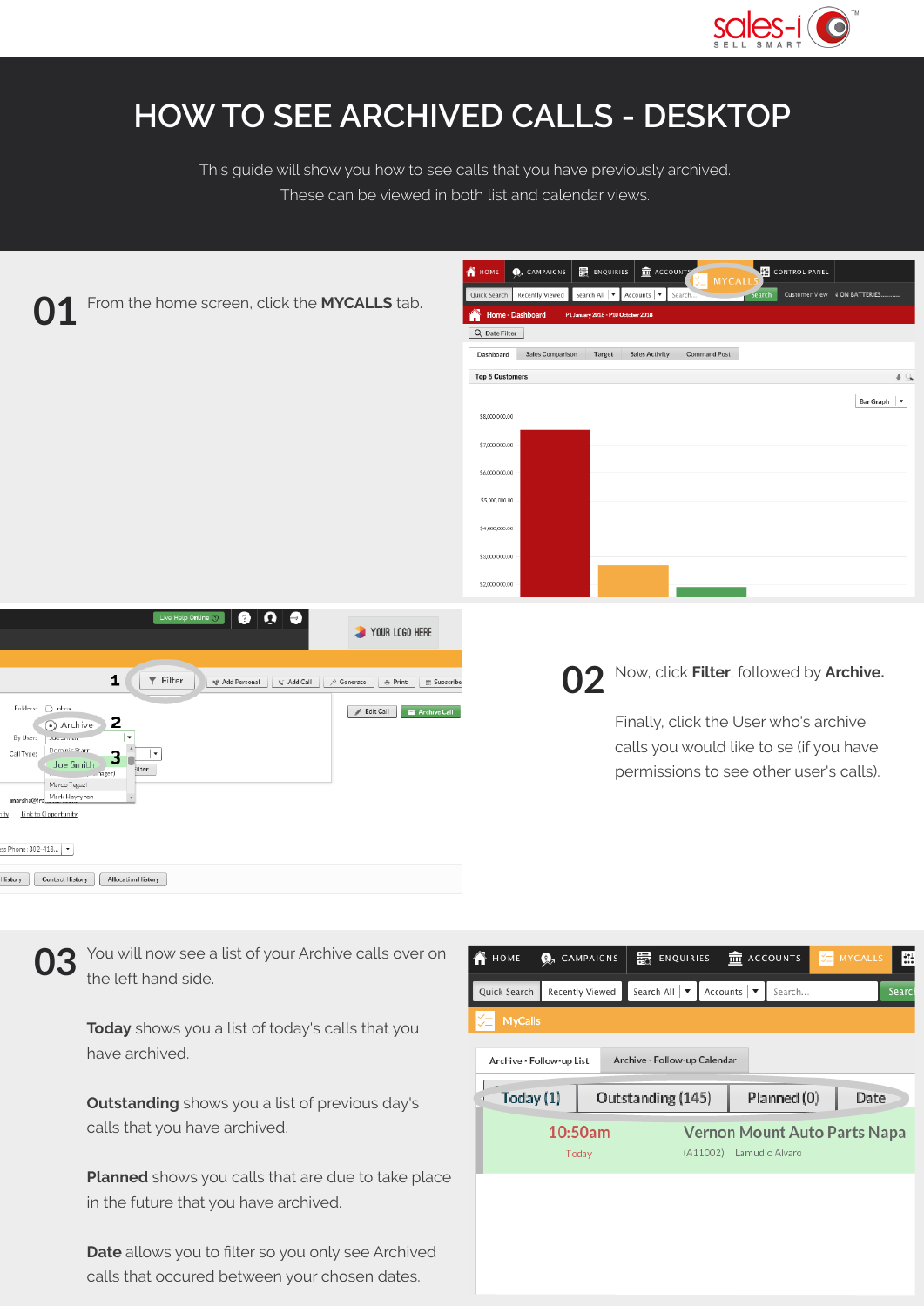

## **HOW TO SEE ARCHIVED CALLS - DESKTOP**

This guide will show you how to see calls that you have previously archived. These can be viewed in both list and calendar views.

| From the home screen, click the MYCALLS tab.                                                                                                                                                                                                                                                                                                                                                                                                                                                                                                     | <b>CONTROL PANEL</b><br><b>II</b> ACCOUNTS<br>最 ENQUIRIES  <br><b>O</b> <sub>n</sub> CAMPAIGNS<br>ñ<br>HOME<br>MYCAL<br>Search Customer View JON BATTERIES.<br>Search All   ▼   Accounts   ▼<br>Search.<br>Recently Viewed<br>Quick Search<br>Home - Dashboard<br>P1 January 2018 - P10 October 2018<br>Q Date Filter<br><b>Sales Comparison</b><br>Target<br><b>Sales Activity</b><br><b>Command Post</b><br>Dashboard |
|--------------------------------------------------------------------------------------------------------------------------------------------------------------------------------------------------------------------------------------------------------------------------------------------------------------------------------------------------------------------------------------------------------------------------------------------------------------------------------------------------------------------------------------------------|-------------------------------------------------------------------------------------------------------------------------------------------------------------------------------------------------------------------------------------------------------------------------------------------------------------------------------------------------------------------------------------------------------------------------|
|                                                                                                                                                                                                                                                                                                                                                                                                                                                                                                                                                  | 49<br><b>Top 5 Customers</b><br>Bar Graph   v<br>\$8,000,000.00<br>\$7,000,000.00<br>\$6,000,000.00<br>\$5,000,000.00<br>\$4,000,000.00<br>\$3,000,000.00<br>\$2,000,000.00                                                                                                                                                                                                                                             |
| $\boldsymbol{\Theta}$<br>◉<br>Live Help Online (?)<br>$\bullet$<br>YOUR LOGO HERE<br>1<br>$\overline{Y}$ Filter<br>₹ Add Personal<br>√ Add Call<br>/ Generate   ● Print     m Subscribe<br>Folders: O Inbox<br><b>E</b> Archive Call<br>$\mathscr{L}$ Edit Call<br>2<br>(•) Archive<br>By User:<br><b>Johnson</b><br>Dominic Starr<br>Call Type:<br>3<br>Joe Smith<br>ilter<br>mager)<br>Marco Tegazi<br>Mark Hayrynen<br>marsha@fra_<br>Link to Opportunity<br>ity<br>ss Phone: 302-418   ▼<br>Contact History<br>Allocation History<br>History | Now, click Filter. followed by Archive.<br>02<br>Finally, click the User who's archive<br>calls you would like to se (if you have<br>permissions to see other user's calls).                                                                                                                                                                                                                                            |

You will now see a list of your Archive calls over on the left hand side. **03**

**Today** shows you a list of today's calls that you have archived.

**Outstanding** shows you a list of previous day's calls that you have archived.

**Planned** shows you calls that are due to take place in the future that you have archived.

**Date** allows you to filter so you only see Archived calls that occured between your chosen dates.